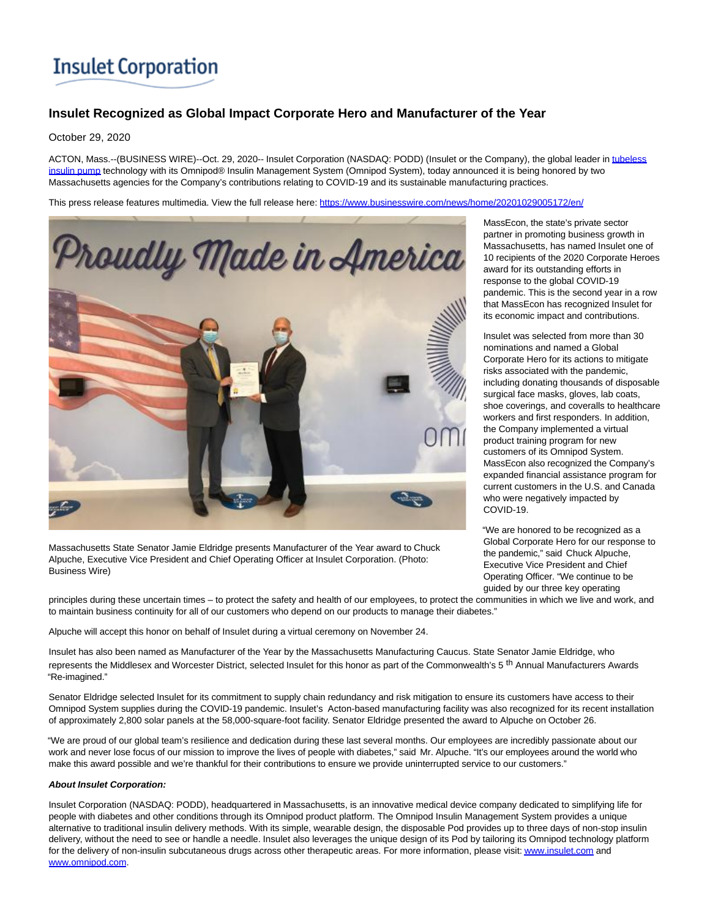# **Insulet Corporation**

## **Insulet Recognized as Global Impact Corporate Hero and Manufacturer of the Year**

### October 29, 2020

ACTON, Mass.--(BUSINESS WIRE)--Oct. 29, 2020-- Insulet Corporation (NASDAQ: PODD) (Insulet or the Company), the global leader i[n tubeless](https://cts.businesswire.com/ct/CT?id=smartlink&url=https%3A%2F%2Fwww.myomnipod.com%2Fhome&esheet=52315749&newsitemid=20201029005172&lan=en-US&anchor=tubeless+insulin+pump&index=1&md5=d19aaf7cce7e51d72f630692fed90347) insulin pump technology with its Omnipod® Insulin Management System (Omnipod System), today announced it is being honored by two Massachusetts agencies for the Company's contributions relating to COVID-19 and its sustainable manufacturing practices.

This press release features multimedia. View the full release here:<https://www.businesswire.com/news/home/20201029005172/en/>



Massachusetts State Senator Jamie Eldridge presents Manufacturer of the Year award to Chuck Alpuche, Executive Vice President and Chief Operating Officer at Insulet Corporation. (Photo: Business Wire)

MassEcon, the state's private sector partner in promoting business growth in Massachusetts, has named Insulet one of 10 recipients of the 2020 Corporate Heroes award for its outstanding efforts in response to the global COVID-19 pandemic. This is the second year in a row that MassEcon has recognized Insulet for its economic impact and contributions.

Insulet was selected from more than 30 nominations and named a Global Corporate Hero for its actions to mitigate risks associated with the pandemic, including donating thousands of disposable surgical face masks, gloves, lab coats, shoe coverings, and coveralls to healthcare workers and first responders. In addition, the Company implemented a virtual product training program for new customers of its Omnipod System. MassEcon also recognized the Company's expanded financial assistance program for current customers in the U.S. and Canada who were negatively impacted by COVID-19.

"We are honored to be recognized as a Global Corporate Hero for our response to the pandemic," said Chuck Alpuche, Executive Vice President and Chief Operating Officer. "We continue to be guided by our three key operating

principles during these uncertain times – to protect the safety and health of our employees, to protect the communities in which we live and work, and to maintain business continuity for all of our customers who depend on our products to manage their diabetes."

Alpuche will accept this honor on behalf of Insulet during a virtual ceremony on November 24.

Insulet has also been named as Manufacturer of the Year by the Massachusetts Manufacturing Caucus. State Senator Jamie Eldridge, who represents the Middlesex and Worcester District, selected Insulet for this honor as part of the Commonwealth's 5<sup>th</sup> Annual Manufacturers Awards "Re-imagined."

Senator Eldridge selected Insulet for its commitment to supply chain redundancy and risk mitigation to ensure its customers have access to their Omnipod System supplies during the COVID-19 pandemic. Insulet's Acton-based manufacturing facility was also recognized for its recent installation of approximately 2,800 solar panels at the 58,000-square-foot facility. Senator Eldridge presented the award to Alpuche on October 26.

"We are proud of our global team's resilience and dedication during these last several months. Our employees are incredibly passionate about our work and never lose focus of our mission to improve the lives of people with diabetes," said Mr. Alpuche. "It's our employees around the world who make this award possible and we're thankful for their contributions to ensure we provide uninterrupted service to our customers."

#### **About Insulet Corporation:**

Insulet Corporation (NASDAQ: PODD), headquartered in Massachusetts, is an innovative medical device company dedicated to simplifying life for people with diabetes and other conditions through its Omnipod product platform. The Omnipod Insulin Management System provides a unique alternative to traditional insulin delivery methods. With its simple, wearable design, the disposable Pod provides up to three days of non-stop insulin delivery, without the need to see or handle a needle. Insulet also leverages the unique design of its Pod by tailoring its Omnipod technology platform for the delivery of non-insulin subcutaneous drugs across other therapeutic areas. For more information, please visit[: www.insulet.com a](https://cts.businesswire.com/ct/CT?id=smartlink&url=http%3A%2F%2Fwww.insulet.com&esheet=52315749&newsitemid=20201029005172&lan=en-US&anchor=www.insulet.com&index=2&md5=b5bddd7cb58d204951e907a9105d2001)nd [www.omnipod.com.](https://cts.businesswire.com/ct/CT?id=smartlink&url=http%3A%2F%2Fwww.omnipod.com&esheet=52315749&newsitemid=20201029005172&lan=en-US&anchor=www.omnipod.com&index=3&md5=84a9a3be4394bd0cf645fd763f5492ab)